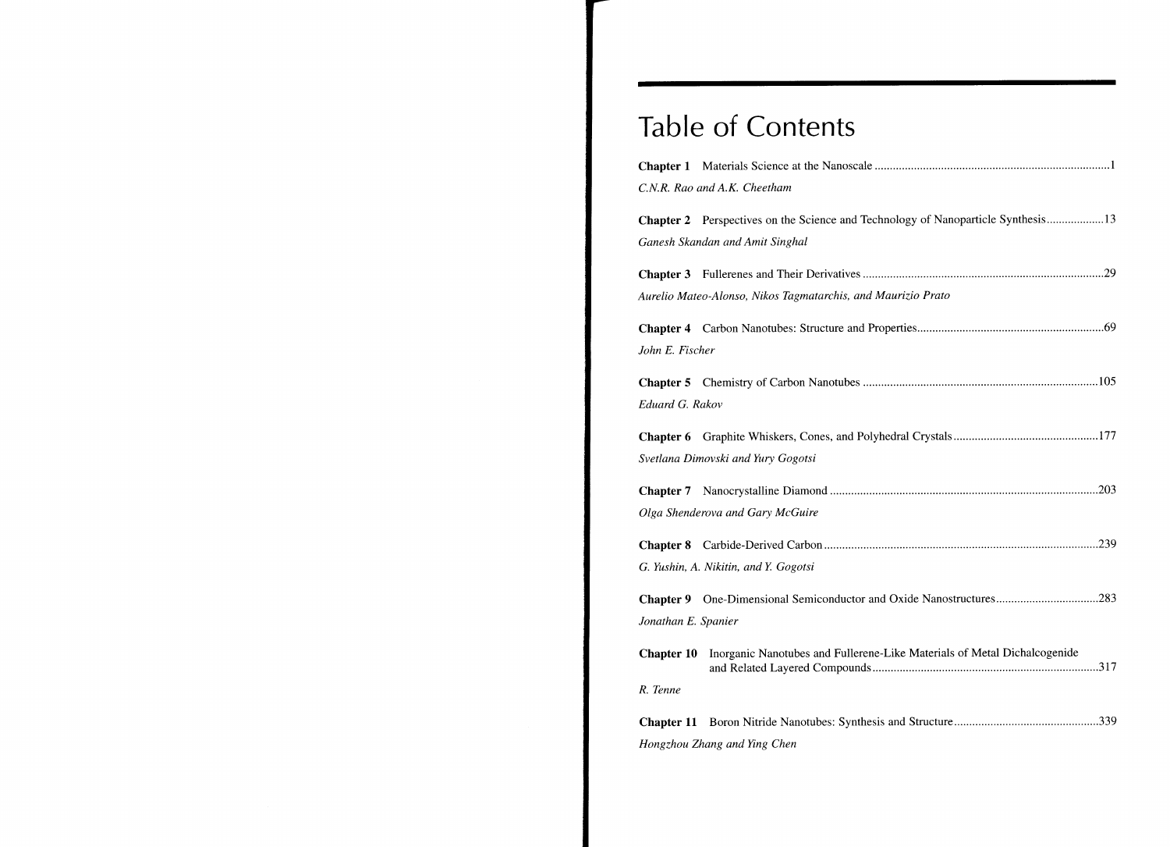## Table of Contents

|                     | C.N.R. Rao and A.K. Cheetham                                                        |  |
|---------------------|-------------------------------------------------------------------------------------|--|
|                     | Chapter 2 Perspectives on the Science and Technology of Nanoparticle Synthesis13    |  |
|                     | Ganesh Skandan and Amit Singhal                                                     |  |
|                     |                                                                                     |  |
|                     | Aurelio Mateo-Alonso, Nikos Tagmatarchis, and Maurizio Prato                        |  |
|                     |                                                                                     |  |
| John E. Fischer     |                                                                                     |  |
|                     |                                                                                     |  |
| Eduard G. Rakov     |                                                                                     |  |
|                     |                                                                                     |  |
|                     | Svetlana Dimovski and Yury Gogotsi                                                  |  |
|                     |                                                                                     |  |
|                     | Olga Shenderova and Gary McGuire                                                    |  |
|                     |                                                                                     |  |
|                     | G. Yushin, A. Nikitin, and Y. Gogotsi                                               |  |
|                     | Chapter 9 One-Dimensional Semiconductor and Oxide Nanostructures283                 |  |
| Jonathan E. Spanier |                                                                                     |  |
|                     | Chapter 10 Inorganic Nanotubes and Fullerene-Like Materials of Metal Dichalcogenide |  |
| R. Tenne            |                                                                                     |  |
|                     |                                                                                     |  |
|                     | Hongzhou Zhang and Ying Chen                                                        |  |